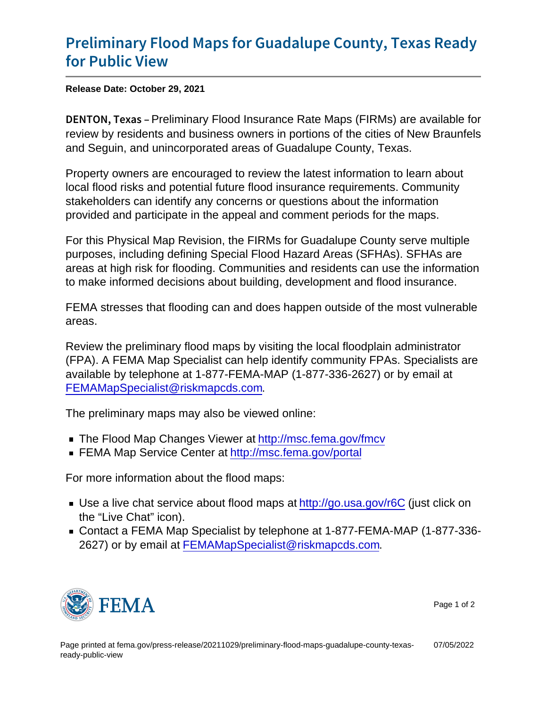## [Preliminary Flood Maps for Guadalu](https://www.fema.gov/press-release/20211029/preliminary-flood-maps-guadalupe-county-texas-ready-public-view)pe Co [for Publi](https://www.fema.gov/press-release/20211029/preliminary-flood-maps-guadalupe-county-texas-ready-public-view)c View

Release Date: October 29, 2021

DENTON, Peekimainary Flood Insurance Rate Maps (FIRMs) are available for review by residents and business owners in portions of the cities of New Braunfels and Seguin, and unincorporated areas of Guadalupe County, Texas.

Property owners are encouraged to review the latest information to learn about local flood risks and potential future flood insurance requirements. Community stakeholders can identify any concerns or questions about the information provided and participate in the appeal and comment periods for the maps.

For this Physical Map Revision, the FIRMs for Guadalupe County serve multiple purposes, including defining Special Flood Hazard Areas (SFHAs). SFHAs are areas at high risk for flooding. Communities and residents can use the information to make informed decisions about building, development and flood insurance.

FEMA stresses that flooding can and does happen outside of the most vulnerable areas.

Review the preliminary flood maps by visiting the local floodplain administrator (FPA). A FEMA Map Specialist can help identify community FPAs. Specialists are available by telephone at 1-877-FEMA-MAP (1-877-336-2627) or by email at [FEMAMapSpecialist@riskmapcds.com](mailto:FEMAMapSpecialist@riskmapcds.com).

The preliminary maps may also be viewed online:

- The Flood Map Changes Viewer at<http://msc.fema.gov/fmcv>
- FEMA Map Service Center at<http://msc.fema.gov/portal>

For more information about the flood maps:

- Use a live chat service about flood maps at<http://go.usa.gov/r6C> (just click on the "Live Chat" icon).
- Contact a FEMA Map Specialist by telephone at 1-877-FEMA-MAP (1-877-336- 2627) or by email at [FEMAMapSpecialist@riskmapcds.com.](mailto:FEMAMapSpecialist@riskmapcds.com)